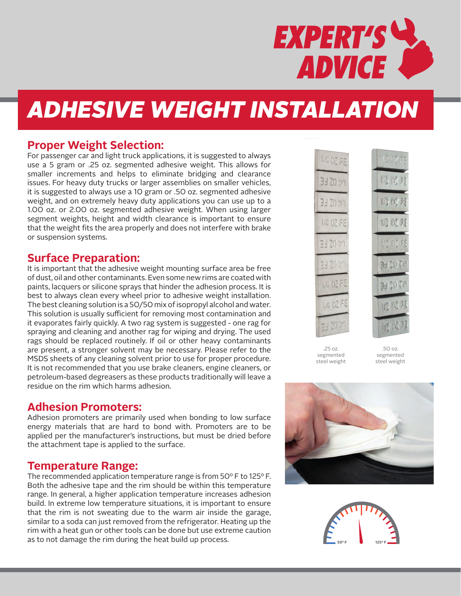

# *ADHESIVE WEIGHT INSTALLATION*

### **Proper Weight Selection:**

For passenger car and light truck applications, it is suggested to always use a 5 gram or .25 oz. segmented adhesive weight. This allows for smaller increments and helps to eliminate bridging and clearance issues. For heavy duty trucks or larger assemblies on smaller vehicles, it is suggested to always use a 10 gram or .50 oz. segmented adhesive weight, and on extremely heavy duty applications you can use up to a 1.00 oz. or 2.00 oz. segmented adhesive weight. When using larger segment weights, height and width clearance is important to ensure that the weight fits the area properly and does not interfere with brake or suspension systems.

### **Surface Preparation:**

It is important that the adhesive weight mounting surface area be free of dust, oil and other contaminants. Even some new rims are coated with paints, lacquers or silicone sprays that hinder the adhesion process. It is best to always clean every wheel prior to adhesive weight installation. The best cleaning solution is a 50/50 mix of isopropyl alcohol and water. This solution is usually sufficient for removing most contamination and it evaporates fairly quickly. A two rag system is suggested - one rag for spraying and cleaning and another rag for wiping and drying. The used rags should be replaced routinely. If oil or other heavy contaminants are present, a stronger solvent may be necessary. Please refer to the MSDS sheets of any cleaning solvent prior to use for proper procedure. It is not recommended that you use brake cleaners, engine cleaners, or petroleum-based degreasers as these products traditionally will leave a residue on the rim which harms adhesion.

## **Adhesion Promoters:**

Adhesion promoters are primarily used when bonding to low surface energy materials that are hard to bond with. Promoters are to be applied per the manufacturer's instructions, but must be dried before the attachment tape is applied to the surface.

### **Temperature Range:**

The recommended application temperature range is from 50º F to 125º F. Both the adhesive tape and the rim should be within this temperature range. In general, a higher application temperature increases adhesion build. In extreme low temperature situations, it is important to ensure that the rim is not sweating due to the warm air inside the garage, similar to a soda can just removed from the refrigerator. Heating up the rim with a heat gun or other tools can be done but use extreme caution as to not damage the rim during the heat build up process.



.25 oz. segmented steel weight

.50 oz. segmented steel weight